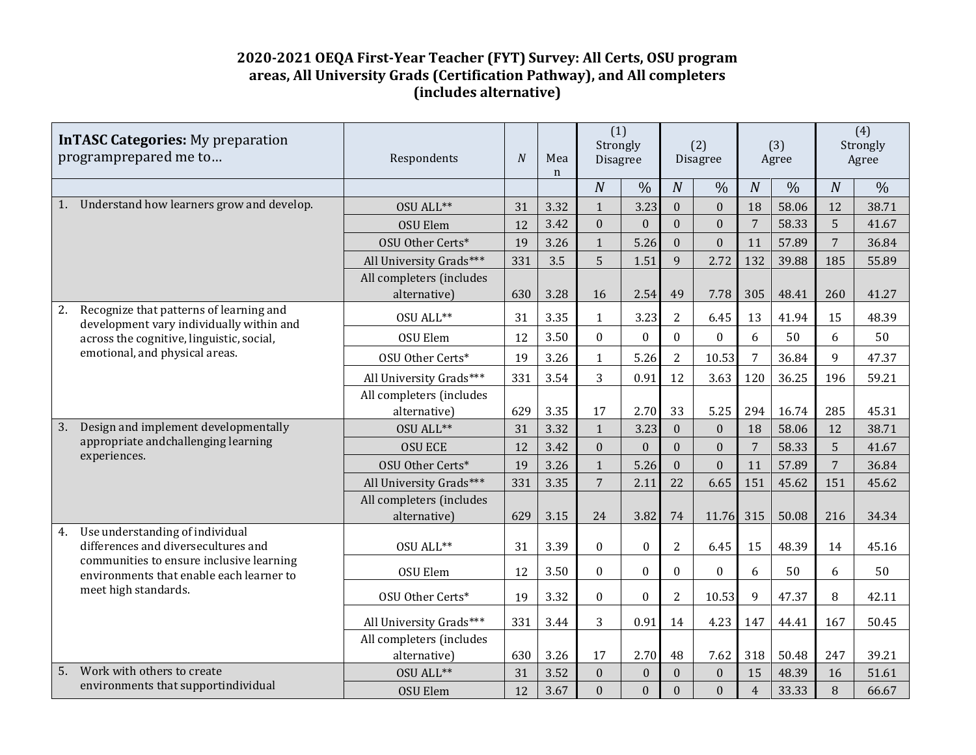## **2020-2021 OEQA First-Year Teacher (FYT) Survey: All Certs, OSU program areas, All University Grads (Certification Pathway), and All completers (includes alternative)**

| <b>InTASC Categories:</b> My preparation<br>programprepared me to |                                                                                                                                                                                        | Respondents                              | N   | Mea<br>$\mathbf n$ | (1)<br>Strongly<br>Disagree |                  | (2)<br><b>Disagree</b> |                  | (3)<br>Agree    |               | (4)<br>Strongly<br>Agree |               |
|-------------------------------------------------------------------|----------------------------------------------------------------------------------------------------------------------------------------------------------------------------------------|------------------------------------------|-----|--------------------|-----------------------------|------------------|------------------------|------------------|-----------------|---------------|--------------------------|---------------|
|                                                                   |                                                                                                                                                                                        |                                          |     |                    | $\overline{N}$              | $\frac{0}{0}$    | $\boldsymbol{N}$       | $\frac{0}{0}$    | $\overline{N}$  | $\frac{0}{0}$ | $\overline{N}$           | $\frac{0}{0}$ |
| 1.                                                                | Understand how learners grow and develop.                                                                                                                                              | OSU ALL**                                | 31  | 3.32               | $\mathbf{1}$                | 3.23             | $\overline{0}$         | $\mathbf{0}$     | 18              | 58.06         | 12                       | 38.71         |
|                                                                   |                                                                                                                                                                                        | <b>OSU Elem</b>                          | 12  | 3.42               | $\Omega$                    | $\theta$         | $\theta$               | $\boldsymbol{0}$ | $7\phantom{.0}$ | 58.33         | 5                        | 41.67         |
|                                                                   |                                                                                                                                                                                        | <b>OSU Other Certs*</b>                  | 19  | 3.26               | $\mathbf{1}$                | 5.26             | $\theta$               | $\boldsymbol{0}$ | 11              | 57.89         | $\overline{7}$           | 36.84         |
|                                                                   |                                                                                                                                                                                        | All University Grads***                  | 331 | 3.5                | 5                           | 1.51             | 9                      | 2.72             | 132             | 39.88         | 185                      | 55.89         |
|                                                                   |                                                                                                                                                                                        | All completers (includes<br>alternative) | 630 | 3.28               | 16                          | 2.54             | 49                     | 7.78             | 305             | 48.41         | 260                      | 41.27         |
| 2.                                                                | Recognize that patterns of learning and<br>development vary individually within and                                                                                                    | OSU ALL**                                | 31  | 3.35               | $\mathbf{1}$                | 3.23             | 2                      | 6.45             | 13              | 41.94         | 15                       | 48.39         |
|                                                                   | across the cognitive, linguistic, social,<br>emotional, and physical areas.                                                                                                            | <b>OSU Elem</b>                          | 12  | 3.50               | $\Omega$                    | $\mathbf{0}$     | $\mathbf{0}$           | $\mathbf{0}$     | 6               | 50            | 6                        | 50            |
|                                                                   |                                                                                                                                                                                        | OSU Other Certs*                         | 19  | 3.26               | $\mathbf{1}$                | 5.26             | $\overline{2}$         | 10.53            | 7               | 36.84         | 9                        | 47.37         |
|                                                                   |                                                                                                                                                                                        | All University Grads***                  | 331 | 3.54               | 3                           | 0.91             | 12                     | 3.63             | 120             | 36.25         | 196                      | 59.21         |
|                                                                   |                                                                                                                                                                                        | All completers (includes                 |     |                    |                             |                  |                        |                  |                 |               |                          |               |
|                                                                   |                                                                                                                                                                                        | alternative)                             | 629 | 3.35               | 17                          | 2.70             | 33                     | 5.25             | 294             | 16.74         | 285                      | 45.31         |
| 3.                                                                | Design and implement developmentally<br>appropriate and challenging learning<br>experiences.                                                                                           | OSU ALL**                                | 31  | 3.32               | $\mathbf{1}$                | 3.23             | $\mathbf{0}$           | $\mathbf{0}$     | 18              | 58.06         | 12                       | 38.71         |
|                                                                   |                                                                                                                                                                                        | <b>OSU ECE</b>                           | 12  | 3.42               | $\Omega$                    | $\Omega$         | $\Omega$               | $\boldsymbol{0}$ | 7               | 58.33         | 5                        | 41.67         |
|                                                                   |                                                                                                                                                                                        | <b>OSU Other Certs*</b>                  | 19  | 3.26               | $\mathbf{1}$                | 5.26             | $\mathbf{0}$           | $\mathbf{0}$     | 11              | 57.89         | $\overline{7}$           | 36.84         |
|                                                                   |                                                                                                                                                                                        | All University Grads***                  | 331 | 3.35               | $\overline{7}$              | 2.11             | 22                     | 6.65             | 151             | 45.62         | 151                      | 45.62         |
|                                                                   |                                                                                                                                                                                        | All completers (includes                 |     |                    |                             |                  |                        |                  |                 |               |                          |               |
| 4.                                                                |                                                                                                                                                                                        | alternative)                             | 629 | 3.15               | 24                          | 3.82             | 74                     | 11.76            | 315             | 50.08         | 216                      | 34.34         |
|                                                                   | Use understanding of individual<br>differences and diversecultures and<br>communities to ensure inclusive learning<br>environments that enable each learner to<br>meet high standards. | OSU ALL**                                | 31  | 3.39               | $\boldsymbol{0}$            | $\boldsymbol{0}$ | $\overline{2}$         | 6.45             | 15              | 48.39         | 14                       | 45.16         |
|                                                                   |                                                                                                                                                                                        | OSU Elem                                 | 12  | 3.50               | $\Omega$                    | $\Omega$         | $\boldsymbol{0}$       | $\mathbf{0}$     | 6               | 50            | 6                        | 50            |
|                                                                   |                                                                                                                                                                                        | OSU Other Certs*                         | 19  | 3.32               | $\boldsymbol{0}$            | $\boldsymbol{0}$ | $\overline{2}$         | 10.53            | 9               | 47.37         | 8                        | 42.11         |
|                                                                   |                                                                                                                                                                                        | All University Grads***                  | 331 | 3.44               | 3                           | 0.91             | 14                     | 4.23             | 147             | 44.41         | 167                      | 50.45         |
|                                                                   |                                                                                                                                                                                        | All completers (includes                 |     |                    |                             |                  |                        |                  |                 |               |                          |               |
|                                                                   |                                                                                                                                                                                        | alternative)                             | 630 | 3.26               | 17                          | 2.70             | 48                     | 7.62             | 318             | 50.48         | 247                      | 39.21         |
| 5.                                                                | Work with others to create                                                                                                                                                             | OSU ALL**                                | 31  | 3.52               | $\mathbf{0}$                | $\theta$         | $\theta$               | $\boldsymbol{0}$ | 15              | 48.39         | 16                       | 51.61         |
|                                                                   | environments that supportindividual                                                                                                                                                    | <b>OSU Elem</b>                          | 12  | 3.67               | $\mathbf{0}$                | $\mathbf{0}$     | $\mathbf{0}$           | $\mathbf{0}$     | $\overline{4}$  | 33.33         | 8                        | 66.67         |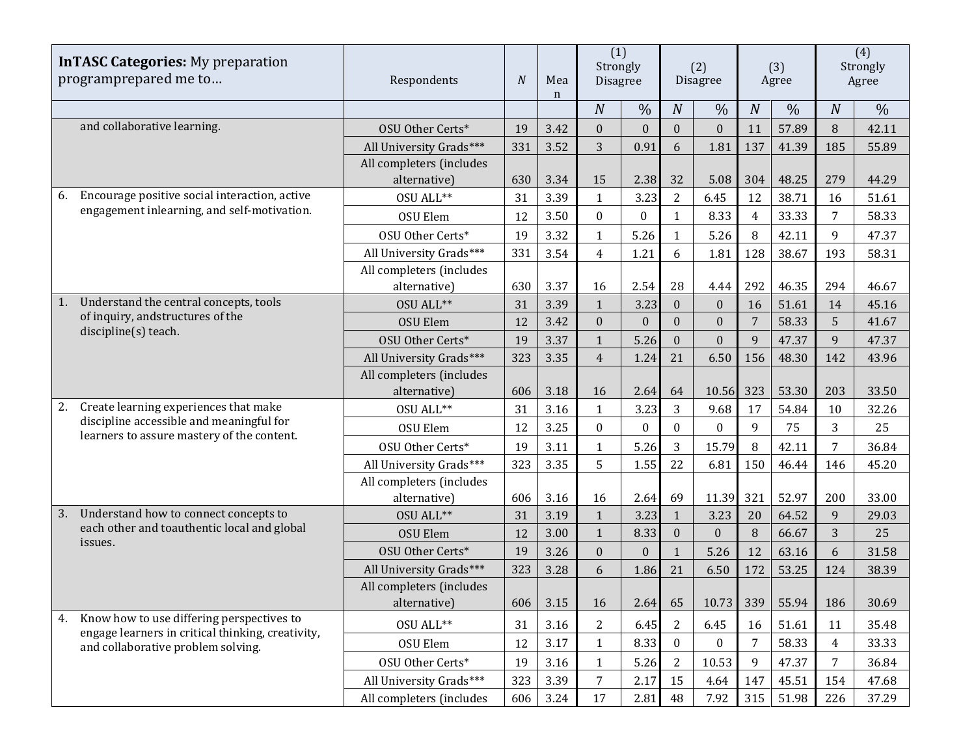| <b>InTASC Categories:</b> My preparation<br>programprepared me to |                                                                                                                                 | Respondents                              | $\overline{N}$ | Mea<br>$\mathbf n$ | (1)<br>Strongly<br><b>Disagree</b> |                  | (2)<br><b>Disagree</b> |                  | (3)<br>Agree   |               | (4)<br>Strongly<br>Agree |               |
|-------------------------------------------------------------------|---------------------------------------------------------------------------------------------------------------------------------|------------------------------------------|----------------|--------------------|------------------------------------|------------------|------------------------|------------------|----------------|---------------|--------------------------|---------------|
|                                                                   |                                                                                                                                 |                                          |                |                    | $\overline{N}$                     | $\frac{0}{0}$    | $\overline{N}$         | $\frac{0}{0}$    | $\overline{N}$ | $\frac{0}{0}$ | $\overline{N}$           | $\frac{0}{0}$ |
|                                                                   | and collaborative learning.                                                                                                     | <b>OSU Other Certs*</b>                  | 19             | 3.42               | $\boldsymbol{0}$                   | $\boldsymbol{0}$ | $\boldsymbol{0}$       | $\boldsymbol{0}$ | 11             | 57.89         | $\, 8$                   | 42.11         |
|                                                                   |                                                                                                                                 | All University Grads***                  | 331            | 3.52               | 3                                  | 0.91             | 6                      | 1.81             | 137            | 41.39         | 185                      | 55.89         |
|                                                                   |                                                                                                                                 | All completers (includes                 |                |                    |                                    |                  |                        |                  |                |               |                          |               |
|                                                                   |                                                                                                                                 | alternative)                             | 630            | 3.34               | 15                                 | 2.38             | 32                     | 5.08             | 304            | 48.25         | 279                      | 44.29         |
| 6.                                                                | Encourage positive social interaction, active                                                                                   | OSU ALL**                                | 31             | 3.39               | $\mathbf{1}$                       | 3.23             | $\overline{2}$         | 6.45             | 12             | 38.71         | 16                       | 51.61         |
|                                                                   | engagement inlearning, and self-motivation.                                                                                     | OSU Elem                                 | 12             | 3.50               | $\boldsymbol{0}$                   | $\theta$         | 1                      | 8.33             | $\overline{4}$ | 33.33         | $\overline{7}$           | 58.33         |
|                                                                   |                                                                                                                                 | OSU Other Certs*                         | 19             | 3.32               | $\mathbf{1}$                       | 5.26             | 1                      | 5.26             | 8              | 42.11         | 9                        | 47.37         |
|                                                                   |                                                                                                                                 | All University Grads***                  | 331            | 3.54               | $\overline{4}$                     | 1.21             | 6                      | 1.81             | 128            | 38.67         | 193                      | 58.31         |
|                                                                   |                                                                                                                                 | All completers (includes                 |                |                    |                                    |                  |                        |                  |                |               |                          |               |
|                                                                   |                                                                                                                                 | alternative)                             | 630            | 3.37               | 16                                 | 2.54             | 28                     | 4.44             | 292            | 46.35         | 294                      | 46.67         |
| 1.                                                                | Understand the central concepts, tools                                                                                          | OSU ALL**                                | 31             | 3.39               | $\mathbf{1}$                       | 3.23             | $\Omega$               | $\boldsymbol{0}$ | 16             | 51.61         | 14                       | 45.16         |
|                                                                   | of inquiry, and structures of the<br>discipline(s) teach.                                                                       | <b>OSU Elem</b>                          | 12             | 3.42               | $\mathbf{0}$                       | $\mathbf{0}$     | $\overline{0}$         | $\boldsymbol{0}$ | $\overline{7}$ | 58.33         | 5                        | 41.67         |
|                                                                   |                                                                                                                                 | OSU Other Certs*                         | 19             | 3.37               | $\mathbf{1}$                       | 5.26             | $\mathbf{0}$           | $\boldsymbol{0}$ | 9              | 47.37         | 9                        | 47.37         |
|                                                                   |                                                                                                                                 | All University Grads***                  | 323            | 3.35               | $\overline{4}$                     | 1.24             | 21                     | 6.50             | 156            | 48.30         | 142                      | 43.96         |
|                                                                   |                                                                                                                                 | All completers (includes                 |                |                    |                                    |                  |                        |                  |                |               |                          |               |
|                                                                   |                                                                                                                                 | alternative)                             | 606            | 3.18               | 16                                 | 2.64             | 64                     | 10.56            | 323            | 53.30         | 203                      | 33.50         |
| 2.                                                                | Create learning experiences that make<br>discipline accessible and meaningful for<br>learners to assure mastery of the content. | OSU ALL**                                | 31             | 3.16               | $\mathbf{1}$                       | 3.23             | 3                      | 9.68             | 17             | 54.84         | 10                       | 32.26         |
|                                                                   |                                                                                                                                 | <b>OSU Elem</b>                          | 12             | 3.25               | $\mathbf{0}$                       | $\theta$         | $\mathbf{0}$           | $\mathbf{0}$     | 9              | 75            | 3                        | 25            |
|                                                                   |                                                                                                                                 | OSU Other Certs*                         | 19             | 3.11               | $\mathbf{1}$                       | 5.26             | 3                      | 15.79            | 8              | 42.11         | $\overline{7}$           | 36.84         |
|                                                                   |                                                                                                                                 | All University Grads***                  | 323            | 3.35               | 5                                  | 1.55             | 22                     | 6.81             | 150            | 46.44         | 146                      | 45.20         |
|                                                                   |                                                                                                                                 | All completers (includes                 |                |                    |                                    |                  |                        |                  |                |               |                          |               |
|                                                                   |                                                                                                                                 | alternative)                             | 606            | 3.16               | 16                                 | 2.64             | 69                     | 11.39            | 321            | 52.97         | 200                      | 33.00         |
| 3.                                                                | Understand how to connect concepts to<br>each other and toauthentic local and global                                            | OSU ALL**                                | 31             | 3.19               | $\mathbf{1}$                       | 3.23             | $\mathbf{1}$           | 3.23             | 20             | 64.52         | 9                        | 29.03         |
|                                                                   | issues.                                                                                                                         | <b>OSU Elem</b>                          | 12             | 3.00               | $\mathbf{1}$                       | 8.33             | $\mathbf{0}$           | $\mathbf{0}$     | 8              | 66.67         | 3                        | 25            |
|                                                                   |                                                                                                                                 | OSU Other Certs*                         | 19             | 3.26               | $\mathbf{0}$                       | $\mathbf{0}$     | $\mathbf{1}$           | 5.26             | 12             | 63.16         | 6                        | 31.58         |
|                                                                   |                                                                                                                                 | All University Grads***                  | 323            | 3.28               | 6                                  | 1.86             | 21                     | 6.50             | 172            | 53.25         | 124                      | 38.39         |
|                                                                   |                                                                                                                                 | All completers (includes<br>alternative) | 606            | 3.15               | 16                                 | 2.64             | 65                     | 10.73            | 339            | 55.94         | 186                      | 30.69         |
| 4.                                                                | Know how to use differing perspectives to                                                                                       | OSU ALL**                                | 31             | 3.16               | 2                                  | 6.45             | 2                      | 6.45             | 16             | 51.61         | 11                       | 35.48         |
|                                                                   | engage learners in critical thinking, creativity,                                                                               | OSU Elem                                 | 12             | 3.17               | $\mathbf{1}$                       | 8.33             | $\boldsymbol{0}$       | $\boldsymbol{0}$ | 7              | 58.33         | $\overline{4}$           | 33.33         |
|                                                                   | and collaborative problem solving.                                                                                              | OSU Other Certs*                         | 19             | 3.16               | $\mathbf{1}$                       | 5.26             | $\overline{2}$         | 10.53            | 9              | 47.37         | $\overline{7}$           | 36.84         |
|                                                                   |                                                                                                                                 | All University Grads***                  | 323            | 3.39               | $\overline{7}$                     | 2.17             | 15                     | 4.64             | 147            | 45.51         | 154                      | 47.68         |
|                                                                   |                                                                                                                                 | All completers (includes                 | 606            | 3.24               | 17                                 | 2.81             | 48                     | 7.92             | 315            | 51.98         | 226                      | 37.29         |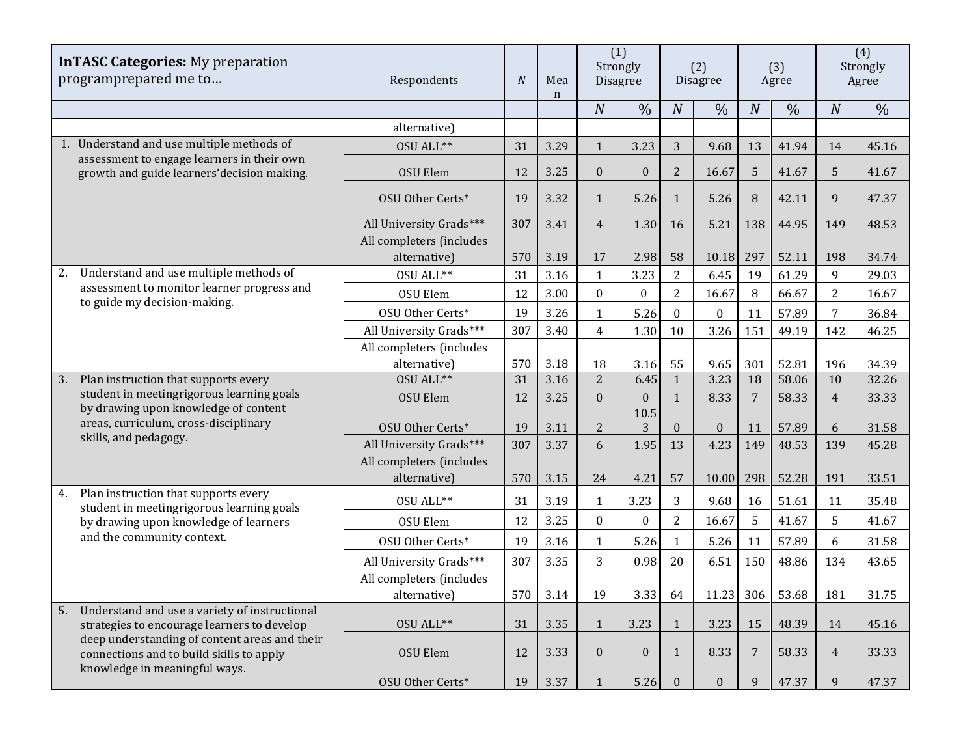| <b>InTASC Categories:</b> My preparation<br>programprepared me to                                  | Respondents                              | $\boldsymbol{N}$ | Mea<br>n | (1)<br>Strongly<br>Disagree |                | (2)<br>Disagree  |                  | (3)<br>Agree     |               | (4)<br>Strongly<br>Agree |               |
|----------------------------------------------------------------------------------------------------|------------------------------------------|------------------|----------|-----------------------------|----------------|------------------|------------------|------------------|---------------|--------------------------|---------------|
|                                                                                                    |                                          |                  |          | $\boldsymbol{N}$            | $\frac{0}{0}$  | $\boldsymbol{N}$ | $\frac{0}{0}$    | $\boldsymbol{N}$ | $\frac{0}{0}$ | $\boldsymbol{N}$         | $\frac{0}{0}$ |
|                                                                                                    | alternative)                             |                  |          |                             |                |                  |                  |                  |               |                          |               |
| 1. Understand and use multiple methods of                                                          | OSU ALL**                                | 31               | 3.29     | $\mathbf{1}$                | 3.23           | 3                | 9.68             | 13               | 41.94         | 14                       | 45.16         |
| assessment to engage learners in their own<br>growth and guide learners' decision making.          | OSU Elem                                 | 12               | 3.25     | $\mathbf{0}$                | $\mathbf{0}$   | $\overline{2}$   | 16.67            | 5                | 41.67         | 5                        | 41.67         |
|                                                                                                    | OSU Other Certs*                         | 19               | 3.32     | $\mathbf{1}$                | 5.26           | $\mathbf{1}$     | 5.26             | 8                | 42.11         | 9                        | 47.37         |
|                                                                                                    | All University Grads***                  | 307              | 3.41     | $\overline{4}$              | 1.30           | 16               | 5.21             | 138              | 44.95         | 149                      | 48.53         |
|                                                                                                    | All completers (includes<br>alternative) | 570              | 3.19     | 17                          | 2.98           | 58               | 10.18            | 297              | 52.11         | 198                      | 34.74         |
| Understand and use multiple methods of<br>2.                                                       | OSU ALL**                                | 31               | 3.16     | 1                           | 3.23           | 2                | 6.45             | 19               | 61.29         | 9                        | 29.03         |
| assessment to monitor learner progress and                                                         | OSU Elem                                 | 12               | 3.00     | $\mathbf{0}$                | $\overline{0}$ | $\overline{2}$   | 16.67            | 8                | 66.67         | $\overline{2}$           | 16.67         |
| to guide my decision-making.                                                                       | OSU Other Certs*                         | 19               | 3.26     | 1                           | 5.26           | $\mathbf{0}$     | $\pmb{0}$        | 11               | 57.89         | 7                        | 36.84         |
|                                                                                                    | All University Grads***                  | 307              | 3.40     | $\overline{4}$              | 1.30           | 10               | 3.26             | 151              | 49.19         | 142                      | 46.25         |
|                                                                                                    | All completers (includes<br>alternative) | 570              | 3.18     | 18                          | 3.16           | 55               | 9.65             | 301              | 52.81         | 196                      | 34.39         |
| 3.<br>Plan instruction that supports every                                                         | OSU ALL**                                | 31               | 3.16     | $\overline{2}$              | 6.45           | $\mathbf{1}$     | 3.23             | 18               | 58.06         | 10                       | 32.26         |
| student in meetingrigorous learning goals<br>by drawing upon knowledge of content                  | OSU Elem                                 | 12               | 3.25     | $\mathbf{0}$                | $\overline{0}$ | $\mathbf{1}$     | 8.33             | 7                | 58.33         | $\overline{4}$           | 33.33         |
| areas, curriculum, cross-disciplinary                                                              | OSU Other Certs*                         | 19               | 3.11     | $\overline{2}$              | 10.5<br>3      | $\mathbf{0}$     | $\boldsymbol{0}$ | 11               | 57.89         | 6                        | 31.58         |
| skills, and pedagogy.                                                                              | All University Grads***                  | 307              | 3.37     | 6                           | 1.95           | 13               | 4.23             | 149              | 48.53         | 139                      | 45.28         |
|                                                                                                    | All completers (includes<br>alternative) | 570              | 3.15     | 24                          | 4.21           | 57               | 10.00            | 298              | 52.28         | 191                      | 33.51         |
| Plan instruction that supports every<br>4.<br>student in meetingrigorous learning goals            | OSU ALL**                                | 31               | 3.19     | $\mathbf{1}$                | 3.23           | 3                | 9.68             | 16               | 51.61         | 11                       | 35.48         |
| by drawing upon knowledge of learners                                                              | OSU Elem                                 | 12               | 3.25     | $\mathbf{0}$                | $\bf{0}$       | $\overline{2}$   | 16.67            | 5                | 41.67         | 5                        | 41.67         |
| and the community context.                                                                         | OSU Other Certs*                         | 19               | 3.16     | 1                           | 5.26           | 1                | 5.26             | 11               | 57.89         | 6                        | 31.58         |
|                                                                                                    | All University Grads***                  | 307              | 3.35     | 3                           | 0.98           | 20               | 6.51             | 150              | 48.86         | 134                      | 43.65         |
|                                                                                                    | All completers (includes<br>alternative) | 570              | 3.14     | 19                          | 3.33           | 64               | 11.23 306        |                  | 53.68         | 181                      | 31.75         |
| 5.<br>Understand and use a variety of instructional<br>strategies to encourage learners to develop | OSU ALL**                                | 31               | 3.35     | $\mathbf{1}$                | 3.23           | $\mathbf{1}$     | 3.23             | 15               | 48.39         | 14                       | 45.16         |
| deep understanding of content areas and their<br>connections and to build skills to apply          | OSU Elem                                 | 12               | 3.33     | $\overline{0}$              | $\overline{0}$ | 1                | 8.33             | 7                | 58.33         | $\overline{4}$           | 33.33         |
| knowledge in meaningful ways.                                                                      | OSU Other Certs*                         | 19               | 3.37     | 1                           | 5.26           | $\mathbf{0}$     | $\mathbf{0}$     | 9                | 47.37         | 9                        | 47.37         |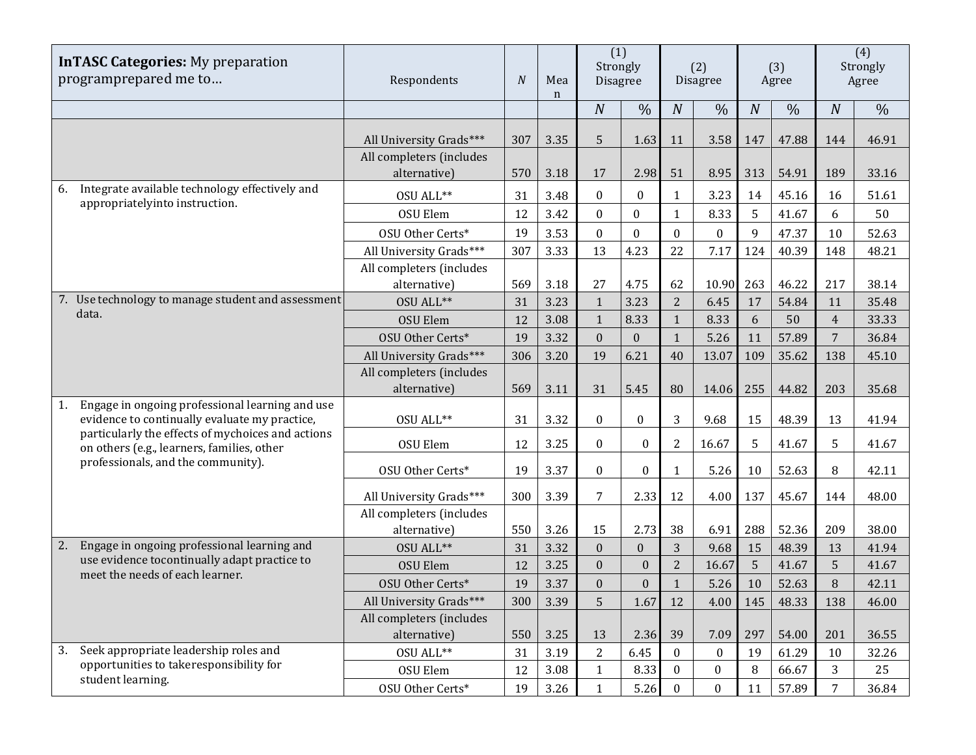| <b>InTASC Categories:</b> My preparation<br>programprepared me to                                      | Respondents                              | $\overline{N}$ | Mea<br>n | (1)<br>Strongly<br><b>Disagree</b> |                  | (2)<br>Disagree  |                  | (3)<br>Agree     |               | (4)<br>Strongly<br>Agree |               |
|--------------------------------------------------------------------------------------------------------|------------------------------------------|----------------|----------|------------------------------------|------------------|------------------|------------------|------------------|---------------|--------------------------|---------------|
|                                                                                                        |                                          |                |          | $\boldsymbol{N}$                   | $\frac{0}{0}$    | $\boldsymbol{N}$ | $\%$             | $\boldsymbol{N}$ | $\frac{0}{0}$ | $\boldsymbol{N}$         | $\frac{0}{0}$ |
|                                                                                                        | All University Grads***                  | 307            | 3.35     | 5                                  | 1.63             | 11               | 3.58             | 147              | 47.88         | 144                      | 46.91         |
|                                                                                                        | All completers (includes<br>alternative) | 570            | 3.18     | 17                                 | 2.98             | 51               | 8.95             | 313              | 54.91         | 189                      | 33.16         |
| Integrate available technology effectively and<br>6.<br>appropriatelyinto instruction.                 | OSU ALL**                                | 31             | 3.48     | $\mathbf{0}$                       | $\bf{0}$         | 1                | 3.23             | 14               | 45.16         | 16                       | 51.61         |
|                                                                                                        | <b>OSU Elem</b>                          | 12             | 3.42     | $\mathbf{0}$                       | $\mathbf{0}$     | $\mathbf{1}$     | 8.33             | 5                | 41.67         | 6                        | 50            |
|                                                                                                        | OSU Other Certs*                         | 19             | 3.53     | $\mathbf{0}$                       | $\mathbf{0}$     | $\mathbf{0}$     | $\mathbf{0}$     | 9                | 47.37         | 10                       | 52.63         |
|                                                                                                        | All University Grads***                  | 307            | 3.33     | 13                                 | 4.23             | 22               | 7.17             | 124              | 40.39         | 148                      | 48.21         |
|                                                                                                        | All completers (includes<br>alternative) | 569            | 3.18     | 27                                 | 4.75             | 62               | 10.90            | 263              | 46.22         | 217                      | 38.14         |
| 7. Use technology to manage student and assessment                                                     | OSU ALL**                                | 31             | 3.23     | $\mathbf{1}$                       | 3.23             | $\overline{2}$   | 6.45             | 17               | 54.84         | 11                       | 35.48         |
| data.                                                                                                  | <b>OSU Elem</b>                          | 12             | 3.08     | $\mathbf{1}$                       | 8.33             | $\mathbf{1}$     | 8.33             | 6                | 50            | $\overline{4}$           | 33.33         |
|                                                                                                        | OSU Other Certs*                         | 19             | 3.32     | $\overline{0}$                     | $\mathbf{0}$     | $\mathbf{1}$     | 5.26             | 11               | 57.89         | $\overline{7}$           | 36.84         |
|                                                                                                        | All University Grads***                  | 306            | 3.20     | 19                                 | 6.21             | 40               | 13.07            | 109              | 35.62         | 138                      | 45.10         |
|                                                                                                        | All completers (includes                 |                |          |                                    |                  |                  |                  |                  |               |                          |               |
|                                                                                                        | alternative)                             | 569            | 3.11     | 31                                 | 5.45             | 80               | 14.06            | 255              | 44.82         | 203                      | 35.68         |
| Engage in ongoing professional learning and use<br>1.<br>evidence to continually evaluate my practice, | OSU ALL**                                | 31             | 3.32     | $\mathbf{0}$                       | $\boldsymbol{0}$ | 3                | 9.68             | 15               | 48.39         | 13                       | 41.94         |
| particularly the effects of mychoices and actions<br>on others (e.g., learners, families, other        | OSU Elem                                 | 12             | 3.25     | $\bf{0}$                           | $\boldsymbol{0}$ | $\overline{2}$   | 16.67            | 5                | 41.67         | 5                        | 41.67         |
| professionals, and the community).                                                                     | OSU Other Certs*                         | 19             | 3.37     | $\mathbf{0}$                       | $\boldsymbol{0}$ | $\mathbf{1}$     | 5.26             | 10               | 52.63         | 8                        | 42.11         |
|                                                                                                        | All University Grads***                  | 300            | 3.39     | 7                                  | 2.33             | 12               | 4.00             | 137              | 45.67         | 144                      | 48.00         |
|                                                                                                        | All completers (includes                 |                |          |                                    |                  |                  |                  |                  |               |                          |               |
|                                                                                                        | alternative)                             | 550            | 3.26     | 15                                 | 2.73             | 38               | 6.91             | 288              | 52.36         | 209                      | 38.00         |
| Engage in ongoing professional learning and<br>2.                                                      | OSU ALL**                                | 31             | 3.32     | $\mathbf{0}$                       | $\overline{0}$   | 3                | 9.68             | 15               | 48.39         | 13                       | 41.94         |
| use evidence tocontinually adapt practice to<br>meet the needs of each learner.                        | <b>OSU Elem</b>                          | 12             | 3.25     | $\mathbf{0}$                       | $\boldsymbol{0}$ | $\overline{2}$   | 16.67            | 5                | 41.67         | 5                        | 41.67         |
|                                                                                                        | OSU Other Certs*                         | 19             | 3.37     | $\mathbf{0}$                       | $\overline{0}$   | $\mathbf{1}$     | 5.26             | 10               | 52.63         | 8                        | 42.11         |
|                                                                                                        | All University Grads***                  | 300            | 3.39     | 5                                  | 1.67             | 12               | 4.00             | 145              | 48.33         | 138                      | 46.00         |
|                                                                                                        | All completers (includes                 |                |          |                                    |                  |                  |                  |                  |               |                          |               |
|                                                                                                        | alternative)                             | 550            | 3.25     | 13                                 | 2.36             | 39               | 7.09             | 297              | 54.00         | 201                      | 36.55         |
| Seek appropriate leadership roles and<br>3.<br>opportunities to takeresponsibility for                 | OSU ALL**                                | 31             | 3.19     | 2                                  | 6.45             | $\mathbf{0}$     | $\bf{0}$         | 19               | 61.29         | 10                       | 32.26         |
| student learning.                                                                                      | OSU Elem                                 | 12             | 3.08     | $\mathbf{1}$                       | 8.33             | $\boldsymbol{0}$ | $\boldsymbol{0}$ | 8                | 66.67         | 3                        | 25            |
|                                                                                                        | OSU Other Certs*                         | 19             | 3.26     | $\mathbf{1}$                       | 5.26             | $\bf{0}$         | $\boldsymbol{0}$ | 11               | 57.89         | 7                        | 36.84         |